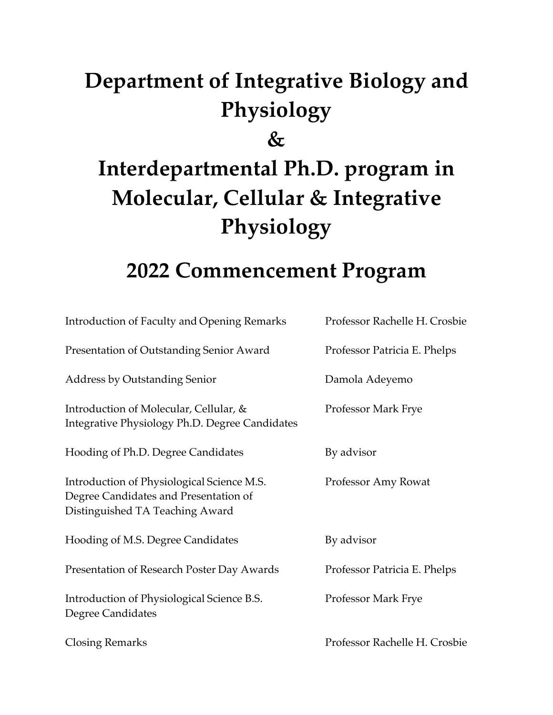# **Department of Integrative Biology and Physiology**

**&** 

# **Interdepartmental Ph.D. program in Molecular, Cellular & Integrative Physiology**

# **2022 Commencement Program**

| <b>Introduction of Faculty and Opening Remarks</b>                                                                     | Professor Rachelle H. Crosbie |
|------------------------------------------------------------------------------------------------------------------------|-------------------------------|
| Presentation of Outstanding Senior Award                                                                               | Professor Patricia E. Phelps  |
| <b>Address by Outstanding Senior</b>                                                                                   | Damola Adeyemo                |
| Introduction of Molecular, Cellular, &<br>Integrative Physiology Ph.D. Degree Candidates                               | Professor Mark Frye           |
| Hooding of Ph.D. Degree Candidates                                                                                     | By advisor                    |
| Introduction of Physiological Science M.S.<br>Degree Candidates and Presentation of<br>Distinguished TA Teaching Award | Professor Amy Rowat           |
| Hooding of M.S. Degree Candidates                                                                                      | By advisor                    |
| Presentation of Research Poster Day Awards                                                                             | Professor Patricia E. Phelps  |
| Introduction of Physiological Science B.S.<br>Degree Candidates                                                        | Professor Mark Frye           |
| <b>Closing Remarks</b>                                                                                                 | Professor Rachelle H. Crosbie |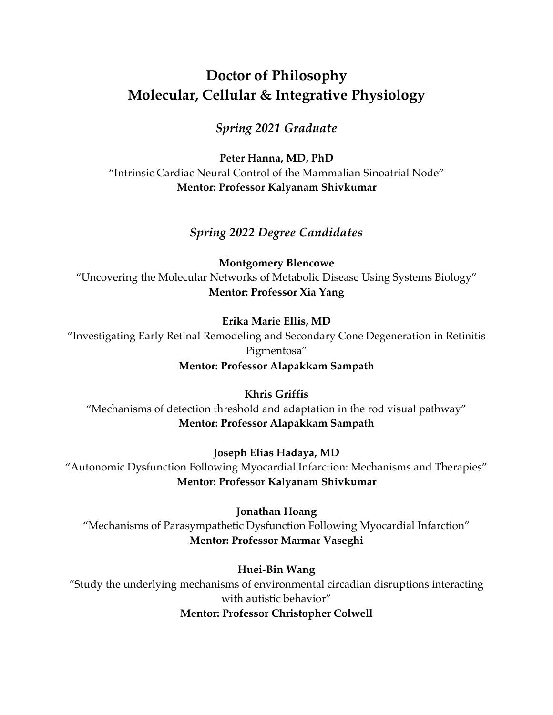# **Doctor of Philosophy Molecular, Cellular & Integrative Physiology**

#### *Spring 2021 Graduate*

**Peter Hanna, MD, PhD** "Intrinsic Cardiac Neural Control of the Mammalian Sinoatrial Node" **Mentor: Professor Kalyanam Shivkumar**

#### *Spring 2022 Degree Candidates*

**Montgomery Blencowe** "Uncovering the Molecular Networks of Metabolic Disease Using Systems Biology" **Mentor: Professor Xia Yang**

#### **Erika Marie Ellis, MD**

"Investigating Early Retinal Remodeling and Secondary Cone Degeneration in Retinitis Pigmentosa"

#### **Mentor: Professor Alapakkam Sampath**

**Khris Griffis** "Mechanisms of detection threshold and adaptation in the rod visual pathway" **Mentor: Professor Alapakkam Sampath**

**Joseph Elias Hadaya, MD** "Autonomic Dysfunction Following Myocardial Infarction: Mechanisms and Therapies" **Mentor: Professor Kalyanam Shivkumar**

#### **Jonathan Hoang**

"Mechanisms of Parasympathetic Dysfunction Following Myocardial Infarction" **Mentor: Professor Marmar Vaseghi**

#### **Huei-Bin Wang**

"Study the underlying mechanisms of environmental circadian disruptions interacting with autistic behavior" **Mentor: Professor Christopher Colwell**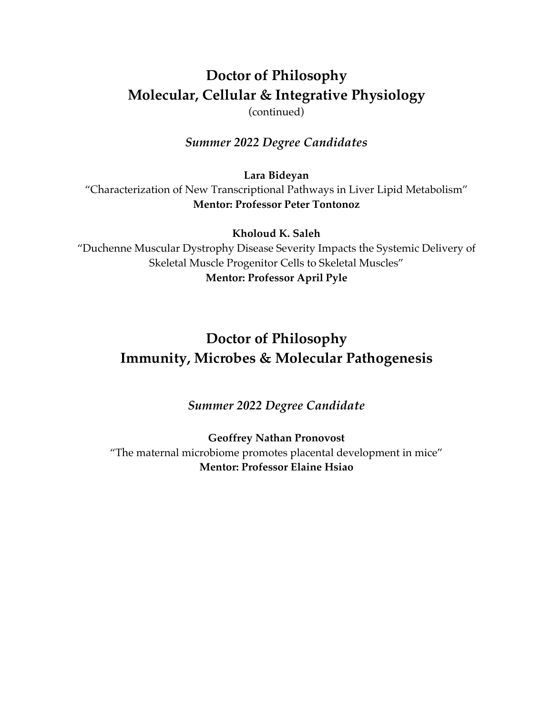# **Doctor of Philosophy Molecular, Cellular & Integrative Physiology**

(continued)

#### *Summer 2022 Degree Candidates*

**Lara Bideyan**

"Characterization of New Transcriptional Pathways in Liver Lipid Metabolism" **Mentor: Professor Peter Tontonoz**

**Kholoud K. Saleh**

"Duchenne Muscular Dystrophy Disease Severity Impacts the Systemic Delivery of Skeletal Muscle Progenitor Cells to Skeletal Muscles" **Mentor: Professor April Pyle**

# **Doctor of Philosophy Immunity, Microbes & Molecular Pathogenesis**

*Summer 2022 Degree Candidate*

**Geoffrey Nathan Pronovost** "The maternal microbiome promotes placental development in mice" **Mentor: Professor Elaine Hsiao**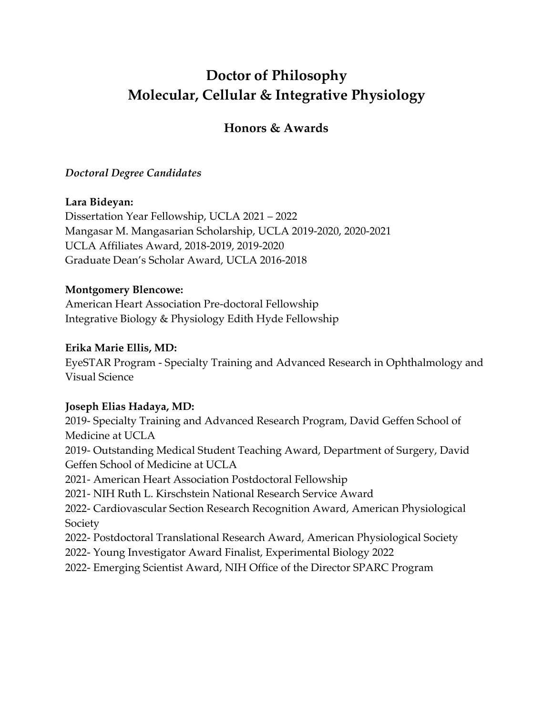# **Doctor of Philosophy Molecular, Cellular & Integrative Physiology**

### **Honors & Awards**

#### *Doctoral Degree Candidates*

#### **Lara Bideyan:**

Dissertation Year Fellowship, UCLA 2021 – 2022 Mangasar M. Mangasarian Scholarship, UCLA 2019-2020, 2020-2021 UCLA Affiliates Award, 2018-2019, 2019-2020 Graduate Dean's Scholar Award, UCLA 2016-2018

#### **Montgomery Blencowe:**

American Heart Association Pre-doctoral Fellowship Integrative Biology & Physiology Edith Hyde Fellowship

#### **Erika Marie Ellis, MD:**

EyeSTAR Program - Specialty Training and Advanced Research in Ophthalmology and Visual Science

#### **Joseph Elias Hadaya, MD:**

2019- Specialty Training and Advanced Research Program, David Geffen School of Medicine at UCLA 2019- Outstanding Medical Student Teaching Award, Department of Surgery, David Geffen School of Medicine at UCLA 2021- American Heart Association Postdoctoral Fellowship 2021- NIH Ruth L. Kirschstein National Research Service Award 2022- Cardiovascular Section Research Recognition Award, American Physiological Society 2022- Postdoctoral Translational Research Award, American Physiological Society 2022- Young Investigator Award Finalist, Experimental Biology 2022 2022- Emerging Scientist Award, NIH Office of the Director SPARC Program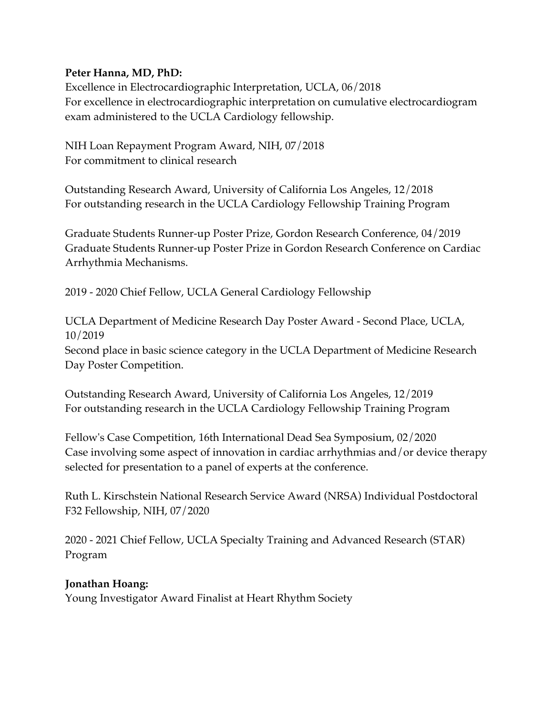#### **Peter Hanna, MD, PhD:**

Excellence in Electrocardiographic Interpretation, UCLA, 06/2018 For excellence in electrocardiographic interpretation on cumulative electrocardiogram exam administered to the UCLA Cardiology fellowship.

NIH Loan Repayment Program Award, NIH, 07/2018 For commitment to clinical research

Outstanding Research Award, University of California Los Angeles, 12/2018 For outstanding research in the UCLA Cardiology Fellowship Training Program

Graduate Students Runner-up Poster Prize, Gordon Research Conference, 04/2019 Graduate Students Runner-up Poster Prize in Gordon Research Conference on Cardiac Arrhythmia Mechanisms.

2019 - 2020 Chief Fellow, UCLA General Cardiology Fellowship

UCLA Department of Medicine Research Day Poster Award - Second Place, UCLA, 10/2019 Second place in basic science category in the UCLA Department of Medicine Research Day Poster Competition.

Outstanding Research Award, University of California Los Angeles, 12/2019 For outstanding research in the UCLA Cardiology Fellowship Training Program

Fellow's Case Competition, 16th International Dead Sea Symposium, 02/2020 Case involving some aspect of innovation in cardiac arrhythmias and/or device therapy selected for presentation to a panel of experts at the conference.

Ruth L. Kirschstein National Research Service Award (NRSA) Individual Postdoctoral F32 Fellowship, NIH, 07/2020

2020 - 2021 Chief Fellow, UCLA Specialty Training and Advanced Research (STAR) Program

#### **Jonathan Hoang:**

Young Investigator Award Finalist at Heart Rhythm Society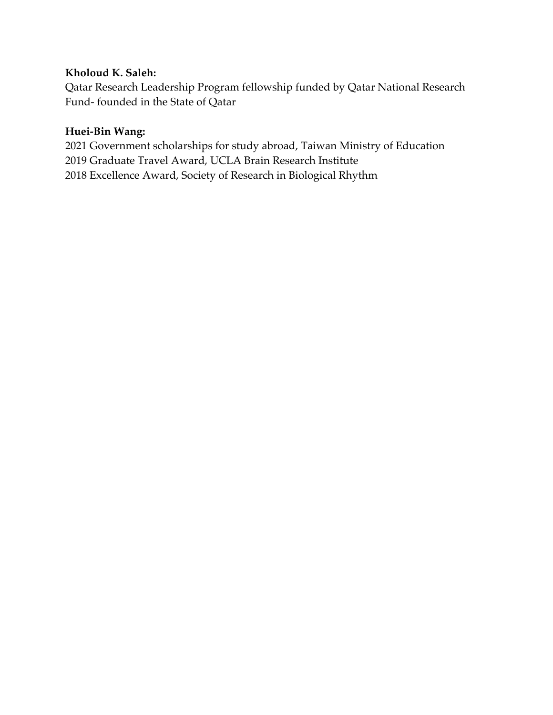#### **Kholoud K. Saleh:**

Qatar Research Leadership Program fellowship funded by Qatar National Research Fund- founded in the State of Qatar

#### **Huei-Bin Wang:**

2021 Government scholarships for study abroad, Taiwan Ministry of Education 2019 Graduate Travel Award, UCLA Brain Research Institute 2018 Excellence Award, Society of Research in Biological Rhythm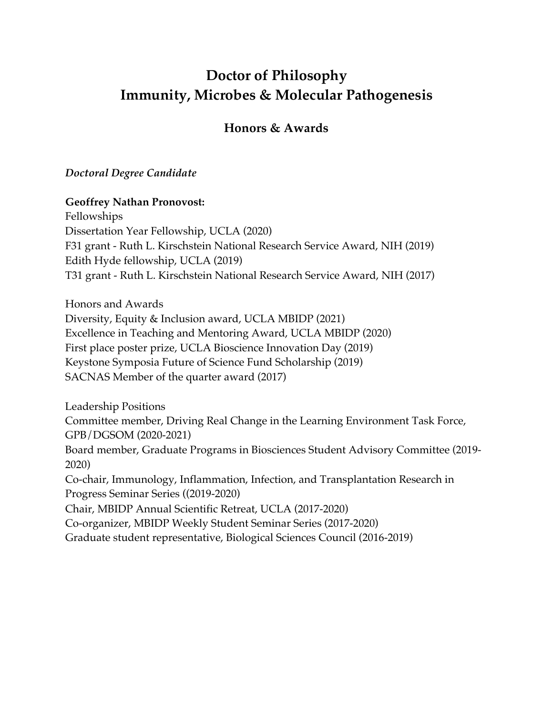# **Doctor of Philosophy Immunity, Microbes & Molecular Pathogenesis**

#### **Honors & Awards**

#### *Doctoral Degree Candidate*

#### **Geoffrey Nathan Pronovost:**

Fellowships Dissertation Year Fellowship, UCLA (2020) F31 grant - Ruth L. Kirschstein National Research Service Award, NIH (2019) Edith Hyde fellowship, UCLA (2019) T31 grant - Ruth L. Kirschstein National Research Service Award, NIH (2017)

Honors and Awards Diversity, Equity & Inclusion award, UCLA MBIDP (2021) Excellence in Teaching and Mentoring Award, UCLA MBIDP (2020) First place poster prize, UCLA Bioscience Innovation Day (2019) Keystone Symposia Future of Science Fund Scholarship (2019) SACNAS Member of the quarter award (2017)

Leadership Positions Committee member, Driving Real Change in the Learning Environment Task Force, GPB/DGSOM (2020-2021) Board member, Graduate Programs in Biosciences Student Advisory Committee (2019- 2020) Co-chair, Immunology, Inflammation, Infection, and Transplantation Research in Progress Seminar Series ((2019-2020) Chair, MBIDP Annual Scientific Retreat, UCLA (2017-2020) Co-organizer, MBIDP Weekly Student Seminar Series (2017-2020)

Graduate student representative, Biological Sciences Council (2016-2019)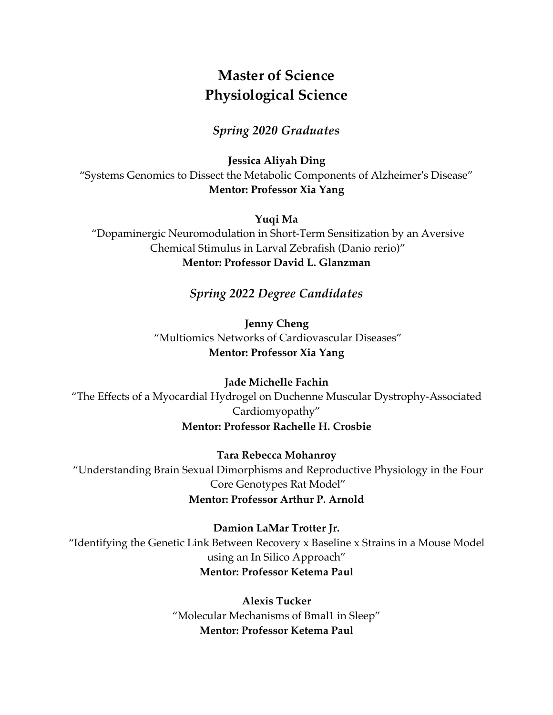# **Master of Science Physiological Science**

#### *Spring 2020 Graduates*

**Jessica Aliyah Ding** "Systems Genomics to Dissect the Metabolic Components of Alzheimer's Disease" **Mentor: Professor Xia Yang**

**Yuqi Ma**

"Dopaminergic Neuromodulation in Short-Term Sensitization by an Aversive Chemical Stimulus in Larval Zebrafish (Danio rerio)" **Mentor: Professor David L. Glanzman**

#### *Spring 2022 Degree Candidates*

**Jenny Cheng** "Multiomics Networks of Cardiovascular Diseases" **Mentor: Professor Xia Yang**

**Jade Michelle Fachin** "The Effects of a Myocardial Hydrogel on Duchenne Muscular Dystrophy-Associated Cardiomyopathy" **Mentor: Professor Rachelle H. Crosbie**

**Tara Rebecca Mohanroy** "Understanding Brain Sexual Dimorphisms and Reproductive Physiology in the Four Core Genotypes Rat Model" **Mentor: Professor Arthur P. Arnold**

**Damion LaMar Trotter Jr.** "Identifying the Genetic Link Between Recovery x Baseline x Strains in a Mouse Model using an In Silico Approach" **Mentor: Professor Ketema Paul**

> **Alexis Tucker** "Molecular Mechanisms of Bmal1 in Sleep" **Mentor: Professor Ketema Paul**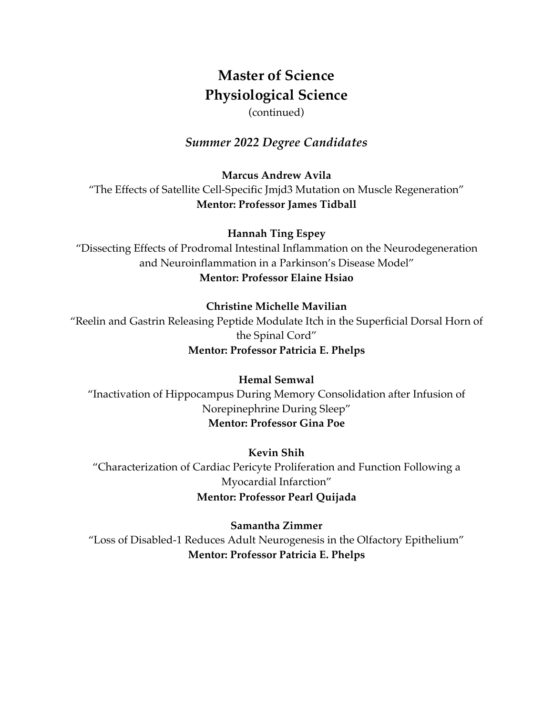# **Master of Science Physiological Science**

(continued)

#### *Summer 2022 Degree Candidates*

**Marcus Andrew Avila** "The Effects of Satellite Cell-Specific Jmjd3 Mutation on Muscle Regeneration" **Mentor: Professor James Tidball**

**Hannah Ting Espey**

"Dissecting Effects of Prodromal Intestinal Inflammation on the Neurodegeneration and Neuroinflammation in a Parkinson's Disease Model" **Mentor: Professor Elaine Hsiao**

#### **Christine Michelle Mavilian**

"Reelin and Gastrin Releasing Peptide Modulate Itch in the Superficial Dorsal Horn of the Spinal Cord" **Mentor: Professor Patricia E. Phelps**

**Hemal Semwal** "Inactivation of Hippocampus During Memory Consolidation after Infusion of Norepinephrine During Sleep" **Mentor: Professor Gina Poe**

**Kevin Shih** "Characterization of Cardiac Pericyte Proliferation and Function Following a Myocardial Infarction" **Mentor: Professor Pearl Quijada**

#### **Samantha Zimmer**

"Loss of Disabled-1 Reduces Adult Neurogenesis in the Olfactory Epithelium" **Mentor: Professor Patricia E. Phelps**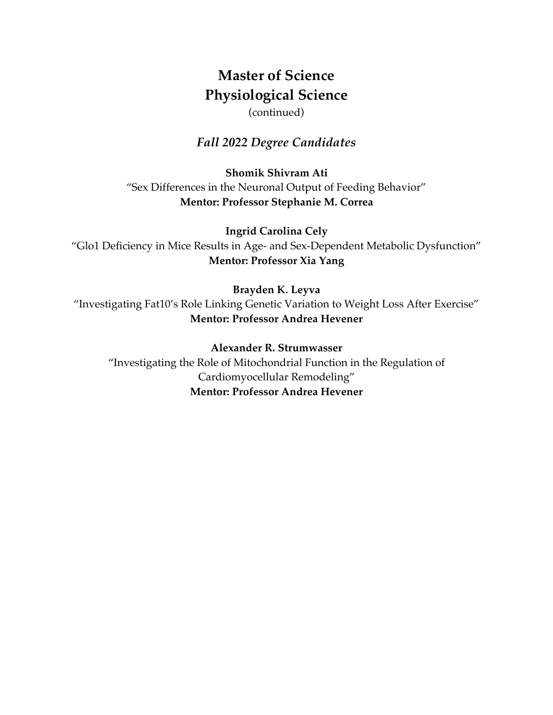# **Master of Science Physiological Science**

(continued)

#### *Fall 2022 Degree Candidates*

**Shomik Shivram Ati** "Sex Differences in the Neuronal Output of Feeding Behavior" **Mentor: Professor Stephanie M. Correa**

**Ingrid Carolina Cely** "Glo1 Deficiency in Mice Results in Age- and Sex-Dependent Metabolic Dysfunction" **Mentor: Professor Xia Yang**

#### **Brayden K. Leyva**

"Investigating Fat10's Role Linking Genetic Variation to Weight Loss After Exercise" **Mentor: Professor Andrea Hevener**

#### **Alexander R. Strumwasser**

"Investigating the Role of Mitochondrial Function in the Regulation of Cardiomyocellular Remodeling" **Mentor: Professor Andrea Hevener**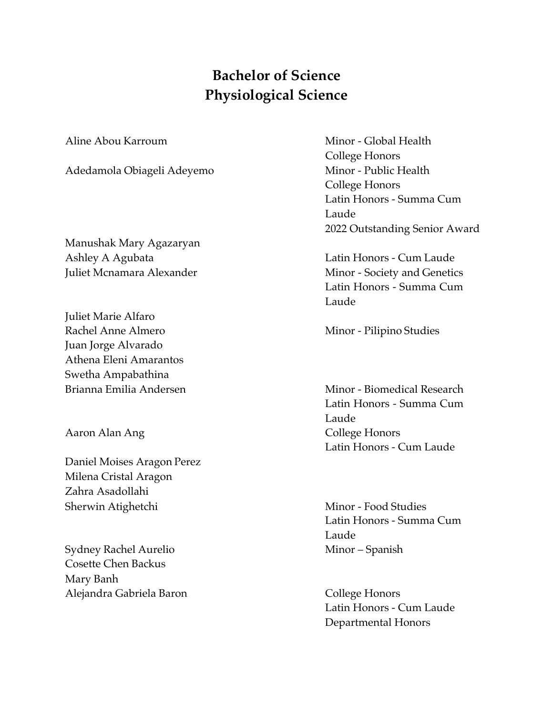## **Bachelor of Science Physiological Science**

Adedamola Obiageli Adeyemo<br>
Minor - Public Health

Manushak Mary Agazaryan Ashley A Agubata Latin Honors - Cum Laude

Juliet Marie Alfaro Rachel Anne Almero Minor - Pilipino Studies Juan Jorge Alvarado Athena Eleni Amarantos Swetha Ampabathina

Daniel Moises Aragon Perez Milena Cristal Aragon Zahra Asadollahi Sherwin Atighetchi Minor - Food Studies

Sydney Rachel Aurelio Minor – Spanish Cosette Chen Backus Mary Banh Alejandra Gabriela Baron **College Honors** College Honors

Aline Abou Karroum Minor - Global Health College Honors College Honors Latin Honors - Summa Cum Laude 2022 Outstanding Senior Award

Juliet Mcnamara Alexander Minor - Society and Genetics Latin Honors - Summa Cum Laude

Brianna Emilia Andersen Minor - Biomedical Research Latin Honors - Summa Cum Laude Aaron Alan Ang **College Honors** Latin Honors - Cum Laude

> Latin Honors - Summa Cum Laude

Latin Honors - Cum Laude Departmental Honors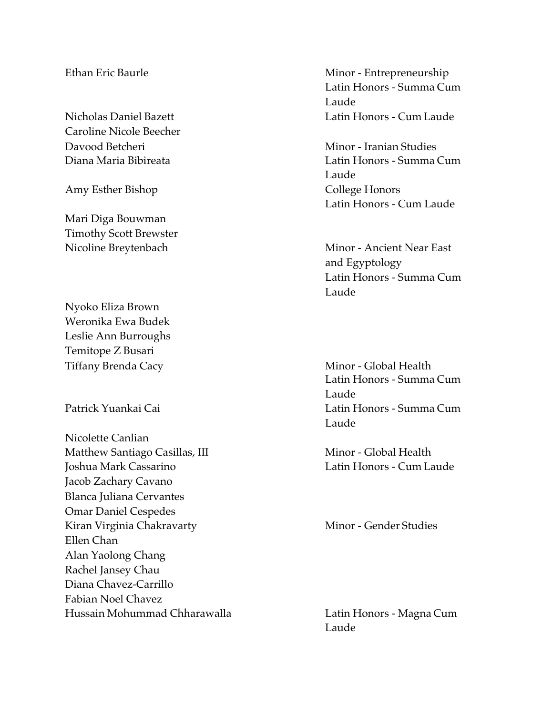Caroline Nicole Beecher Davood Betcheri Minor - Iranian Studies

Amy Esther Bishop College Honors

Mari Diga Bouwman Timothy Scott Brewster

Nyoko Eliza Brown Weronika Ewa Budek Leslie Ann Burroughs Temitope Z Busari

Nicolette Canlian Matthew Santiago Casillas, III Minor - Global Health Joshua Mark Cassarino Latin Honors - Cum Laude Jacob Zachary Cavano Blanca Juliana Cervantes Omar Daniel Cespedes Kiran Virginia Chakravarty Minor - Gender Studies Ellen Chan Alan Yaolong Chang Rachel Jansey Chau Diana Chavez-Carrillo Fabian Noel Chavez Hussain Mohummad Chharawalla Latin Honors - Magna Cum

Ethan Eric Baurle Minor - Entrepreneurship Latin Honors - Summa Cum Laude Nicholas Daniel Bazett Latin Honors - Cum Laude

Diana Maria Bibireata Latin Honors - Summa Cum Laude Latin Honors - Cum Laude

Nicoline Breytenbach Minor - Ancient Near East and Egyptology Latin Honors - Summa Cum Laude

Tiffany Brenda Cacy **Minor** - Global Health Latin Honors - Summa Cum Laude Patrick Yuankai Cai Latin Honors - Summa Cum Laude

Laude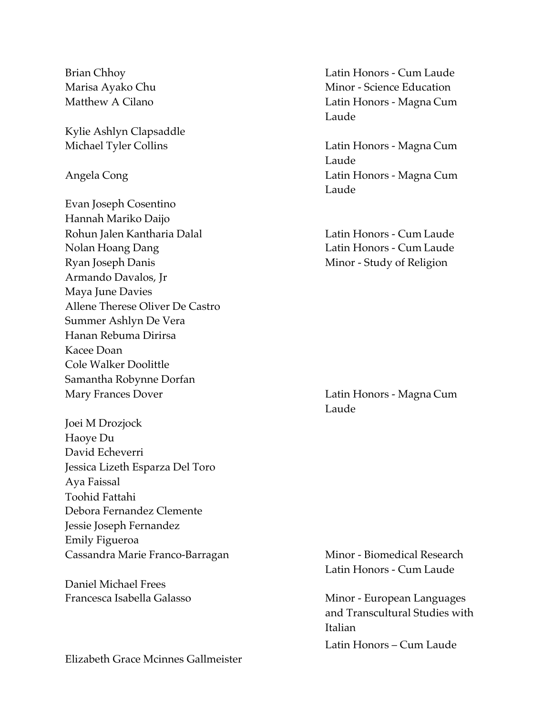Kylie Ashlyn Clapsaddle

Evan Joseph Cosentino Hannah Mariko Daijo Rohun Jalen Kantharia Dalal **Latin Honors - Cum Laude** Nolan Hoang Dang Latin Honors - Cum Laude Ryan Joseph Danis Minor - Study of Religion Armando Davalos, Jr Maya June Davies Allene Therese Oliver De Castro Summer Ashlyn De Vera Hanan Rebuma Dirirsa Kacee Doan Cole Walker Doolittle Samantha Robynne Dorfan Mary Frances Dover **Latin Honors** - Magna Cum

Joei M Drozjock Haoye Du David Echeverri Jessica Lizeth Esparza Del Toro Aya Faissal Toohid Fattahi Debora Fernandez Clemente Jessie Joseph Fernandez Emily Figueroa Cassandra Marie Franco-Barragan Minor - Biomedical Research

Daniel Michael Frees

Elizabeth Grace Mcinnes Gallmeister

Brian Chhoy **Latin Honors - Cum Laude** Marisa Ayako Chu **Minor** - Science Education Matthew A Cilano **Latin Honors** - Magna Cum Laude

Michael Tyler Collins **Latin Honors** - Magna Cum Laude Angela Cong Latin Honors - Magna Cum Laude

Laude

Latin Honors - Cum Laude

Francesca Isabella Galasso Minor - European Languages and Transcultural Studies with Italian Latin Honors – Cum Laude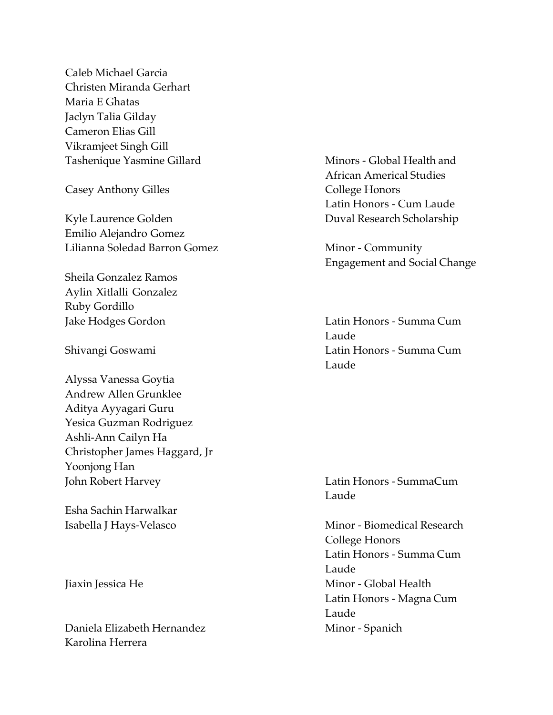Caleb Michael Garcia Christen Miranda Gerhart Maria E Ghatas Jaclyn Talia Gilday Cameron Elias Gill Vikramjeet Singh Gill Tashenique Yasmine Gillard Minors - Global Health and

Casey Anthony Gilles College Honors

Kyle Laurence Golden Duval Research Scholarship Emilio Alejandro Gomez Lilianna Soledad Barron Gomez Minor - Community

Sheila Gonzalez Ramos Aylin Xitlalli Gonzalez Ruby Gordillo

Alyssa Vanessa Goytia Andrew Allen Grunklee Aditya Ayyagari Guru Yesica Guzman Rodriguez Ashli-Ann Cailyn Ha Christopher James Haggard, Jr Yoonjong Han John Robert Harvey Latin Honors - SummaCum

Esha Sachin Harwalkar

Daniela Elizabeth Hernandez Minor - Spanich Karolina Herrera

African Americal Studies Latin Honors - Cum Laude

Engagement and Social Change

Jake Hodges Gordon Latin Honors - Summa Cum Laude Shivangi Goswami Latin Honors - Summa Cum Laude

Laude

Isabella J Hays-Velasco Minor - Biomedical Research College Honors Latin Honors - Summa Cum Laude Jiaxin Jessica He **Minor** - Global Health Latin Honors - Magna Cum Laude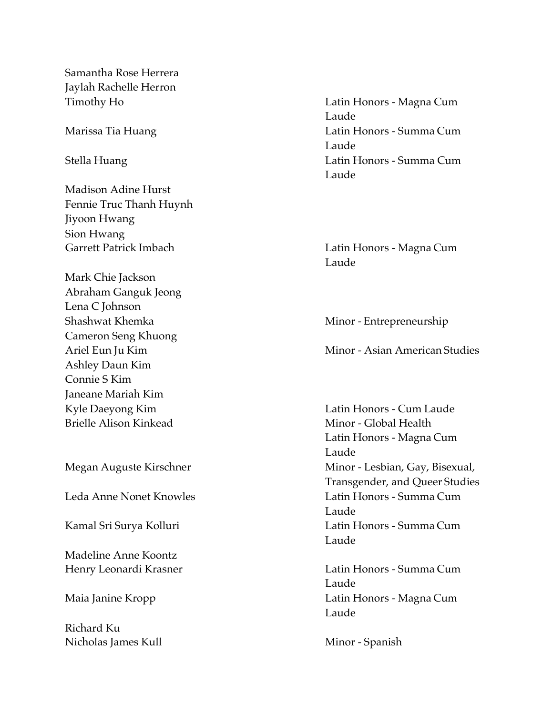Samantha Rose Herrera Jaylah Rachelle Herron

Madison Adine Hurst Fennie Truc Thanh Huynh Jiyoon Hwang Sion Hwang Garrett Patrick Imbach Latin Honors - Magna Cum

Mark Chie Jackson Abraham Ganguk Jeong Lena C Johnson Shashwat Khemka Minor - Entrepreneurship Cameron Seng Khuong Ashley Daun Kim Connie S Kim Janeane Mariah Kim Kyle Daeyong Kim **Latin Honors - Cum Laude** Brielle Alison Kinkead Minor - Global Health

Madeline Anne Koontz

Richard Ku Nicholas James Kull Minor - Spanish

Timothy Ho Latin Honors - Magna Cum Laude Marissa Tia Huang Latin Honors - Summa Cum Laude Stella Huang **Latin Honors** - Summa Cum Laude

Laude

Ariel Eun Ju Kim **Minor - Asian American Studies** 

Latin Honors - Magna Cum Laude Megan Auguste Kirschner Minor - Lesbian, Gay, Bisexual, Transgender, and Queer Studies Leda Anne Nonet Knowles Latin Honors - Summa Cum Laude Kamal Sri Surya Kolluri **Latin Honors - Summa Cum** Laude

Henry Leonardi Krasner Latin Honors - Summa Cum Laude Maia Janine Kropp Latin Honors - Magna Cum Laude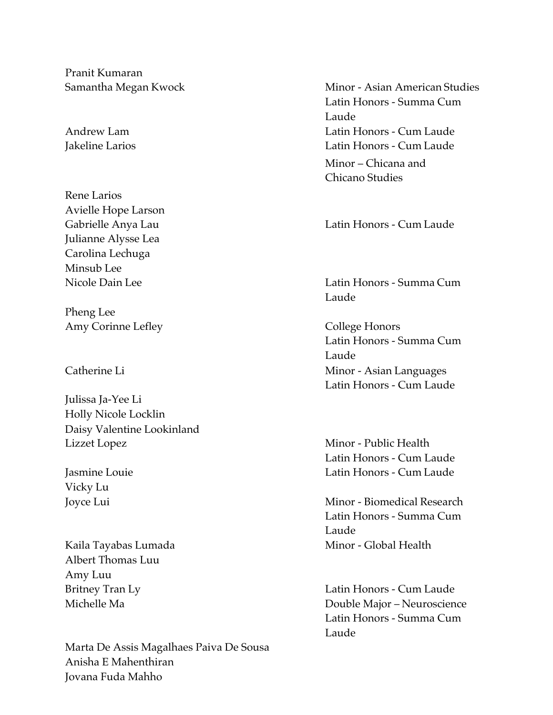Pranit Kumaran

Rene Larios Avielle Hope Larson Julianne Alysse Lea Carolina Lechuga Minsub Lee

Pheng Lee Amy Corinne Lefley College Honors

Julissa Ja-Yee Li Holly Nicole Locklin Daisy Valentine Lookinland Lizzet Lopez Minor - Public Health

Vicky Lu

Albert Thomas Luu Amy Luu

Marta De Assis Magalhaes Paiva De Sousa Anisha E Mahenthiran Jovana Fuda Mahho

Samantha Megan Kwock Minor - Asian American Studies Latin Honors - Summa Cum Laude Andrew Lam Latin Honors - Cum Laude Jakeline Larios Latin Honors - Cum Laude Minor – Chicana and Chicano Studies

Gabrielle Anya Lau **Camerander Cum Latin Honors - Cum Laude** 

Nicole Dain Lee Latin Honors - Summa Cum Laude

Latin Honors - Summa Cum Laude Catherine Li **Catherine Li** Minor - Asian Languages Latin Honors - Cum Laude

Latin Honors - Cum Laude Jasmine Louie Latin Honors - Cum Laude

Joyce Lui **Minor** - Biomedical Research Latin Honors - Summa Cum Laude Kaila Tayabas Lumada Minor - Global Health

Britney Tran Ly **Example 2018** Latin Honors - Cum Laude Michelle Ma Double Major – Neuroscience Latin Honors - Summa Cum Laude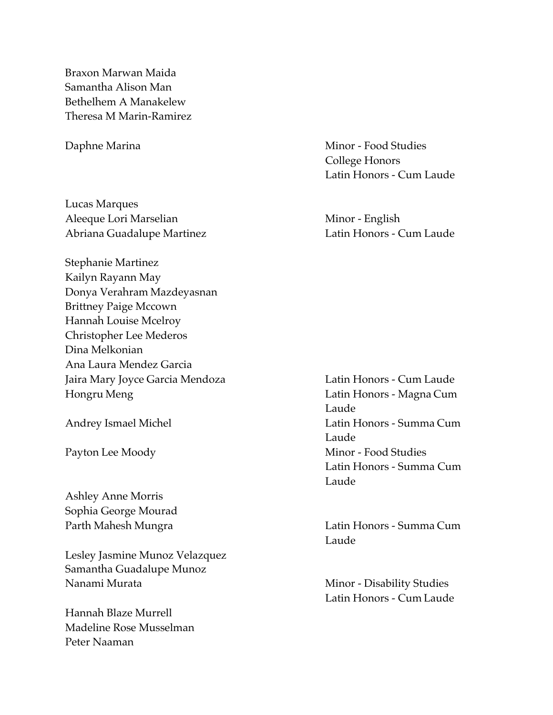Braxon Marwan Maida Samantha Alison Man Bethelhem A Manakelew Theresa M Marin-Ramirez

Lucas Marques Aleeque Lori Marselian Minor - English Abriana Guadalupe Martinez **Latin Honors - Cum Laude** 

Stephanie Martinez Kailyn Rayann May Donya Verahram Mazdeyasnan Brittney Paige Mccown Hannah Louise Mcelroy Christopher Lee Mederos Dina Melkonian Ana Laura Mendez Garcia Jaira Mary Joyce Garcia Mendoza **Latin Honors - Cum Laude** Hongru Meng Latin Honors - Magna Cum

Ashley Anne Morris Sophia George Mourad

Lesley Jasmine Munoz Velazquez Samantha Guadalupe Munoz Nanami Murata **Minor - Disability Studies** 

Hannah Blaze Murrell Madeline Rose Musselman Peter Naaman

Daphne Marina **Minor - Food Studies** College Honors Latin Honors - Cum Laude

Laude Andrey Ismael Michel **Latin Honors** - Summa Cum Laude Payton Lee Moody Minor - Food Studies Latin Honors - Summa Cum Laude

Parth Mahesh Mungra **Latin Honors - Summa Cum** Laude

Latin Honors - Cum Laude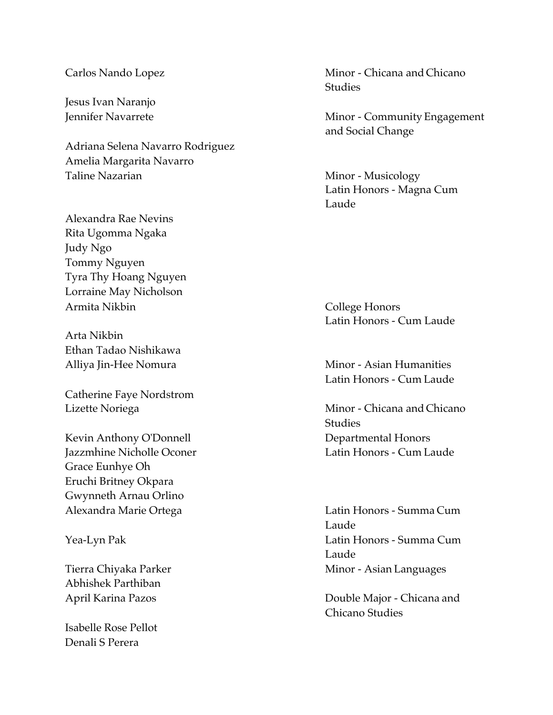Jesus Ivan Naranjo

Adriana Selena Navarro Rodriguez Amelia Margarita Navarro Taline Nazarian Minor - Musicology

Alexandra Rae Nevins Rita Ugomma Ngaka Judy Ngo Tommy Nguyen Tyra Thy Hoang Nguyen Lorraine May Nicholson Armita Nikbin College Honors

Arta Nikbin Ethan Tadao Nishikawa

Catherine Faye Nordstrom

Kevin Anthony O'Donnell Departmental Honors Jazzmhine Nicholle Oconer Latin Honors - Cum Laude Grace Eunhye Oh Eruchi Britney Okpara Gwynneth Arnau Orlino Alexandra Marie Ortega Latin Honors - Summa Cum

Abhishek Parthiban

Isabelle Rose Pellot Denali S Perera

Carlos Nando Lopez Minor - Chicana and Chicano **Studies** 

Jennifer Navarrete **Minor - Community Engagement** and Social Change

> Latin Honors - Magna Cum Laude

Latin Honors - Cum Laude

Alliya Jin-Hee Nomura **Minor - Asian Humanities** Latin Honors - Cum Laude

Lizette Noriega **Minor** - Chicana and Chicano Studies

Laude Yea-Lyn Pak Latin Honors - Summa Cum Laude Tierra Chiyaka Parker Minor - Asian Languages

April Karina Pazos Double Major - Chicana and Chicano Studies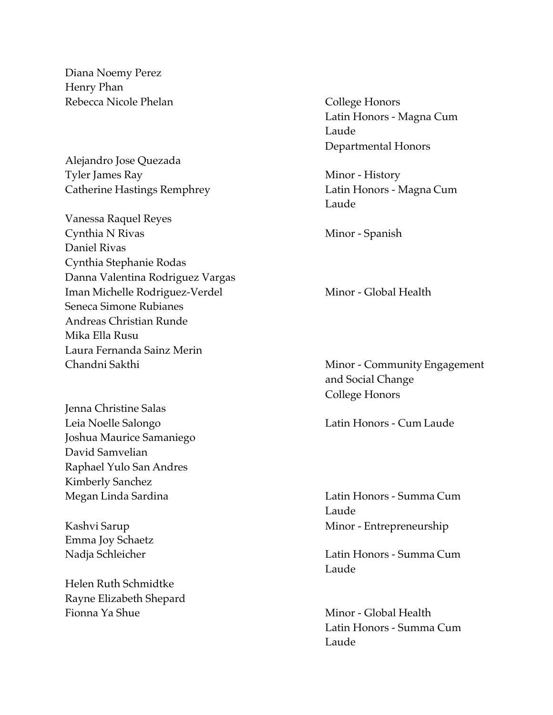Diana Noemy Perez Henry Phan Rebecca Nicole Phelan College Honors

Alejandro Jose Quezada Tyler James Ray Minor - History

- Vanessa Raquel Reyes Cynthia N Rivas Minor - Spanish Daniel Rivas Cynthia Stephanie Rodas Danna Valentina Rodriguez Vargas Iman Michelle Rodriguez-Verdel Minor - Global Health Seneca Simone Rubianes Andreas Christian Runde Mika Ella Rusu Laura Fernanda Sainz Merin Chandni Sakthi Minor - Community Engagement
- Jenna Christine Salas Leia Noelle Salongo Latin Honors - Cum Laude Joshua Maurice Samaniego David Samvelian Raphael Yulo San Andres Kimberly Sanchez

Emma Joy Schaetz

Helen Ruth Schmidtke Rayne Elizabeth Shepard Fionna Ya Shue **Minor** - Global Health

Latin Honors - Magna Cum Laude Departmental Honors

Catherine Hastings Remphrey Latin Honors - Magna Cum Laude

and Social Change College Honors

Megan Linda Sardina **Latin Honors - Summa Cum** Laude Kashvi Sarup **Minor** - Entrepreneurship

Nadja Schleicher Latin Honors - Summa Cum Laude

> Latin Honors - Summa Cum Laude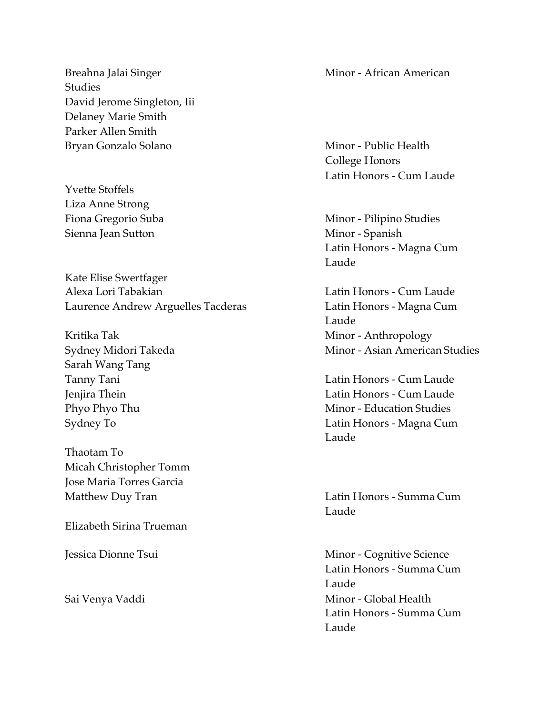Breahna Jalai Singer **Minor - African American** Studies David Jerome Singleton, Iii Delaney Marie Smith Parker Allen Smith Bryan Gonzalo Solano Minor - Public Health

Yvette Stoffels Liza Anne Strong Sienna Jean Sutton Minor - Spanish

Kate Elise Swertfager Alexa Lori Tabakian Latin Honors - Cum Laude Laurence Andrew Arguelles Tacderas **Latin Honors - Magna Cum** 

Sarah Wang Tang

Thaotam To Micah Christopher Tomm Jose Maria Torres Garcia

Elizabeth Sirina Trueman

College Honors Latin Honors - Cum Laude

Fiona Gregorio Suba Minor - Pilipino Studies Latin Honors - Magna Cum Laude

Laude Kritika Tak **Minor** - Anthropology Sydney Midori Takeda Minor - Asian American Studies

Tanny Tani **Tanny Tani 2018** Latin Honors - Cum Laude Jenjira Thein Latin Honors - Cum Laude Phyo Phyo Thu **Minor** - Education Studies Sydney To Latin Honors - Magna Cum Laude

Matthew Duy Tran **Latin Honors** - Summa Cum Laude

Jessica Dionne Tsui **Minor** - Cognitive Science Latin Honors - Summa Cum Laude Sai Venya Vaddi Ninor - Global Health Latin Honors - Summa Cum Laude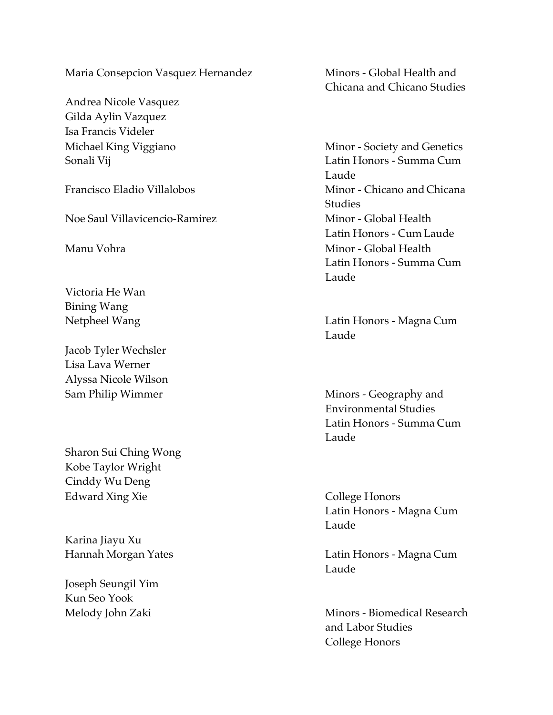Maria Consepcion Vasquez Hernandez Minors - Global Health and

Andrea Nicole Vasquez Gilda Aylin Vazquez Isa Francis Videler

Noe Saul Villavicencio-Ramirez Minor - Global Health

Victoria He Wan Bining Wang

Jacob Tyler Wechsler Lisa Lava Werner Alyssa Nicole Wilson

Sharon Sui Ching Wong Kobe Taylor Wright Cinddy Wu Deng Edward Xing Xie College Honors

Karina Jiayu Xu

Joseph Seungil Yim Kun Seo Yook

Chicana and Chicano Studies

Michael King Viggiano Minor - Society and Genetics Sonali Vij Latin Honors - Summa Cum Laude Francisco Eladio Villalobos Minor - Chicano and Chicana Studies Latin Honors - Cum Laude Manu Vohra **Minor - Global Health** Latin Honors - Summa Cum Laude

Netpheel Wang **Latin Honors** - Magna Cum Laude

Sam Philip Wimmer **Minors** - Geography and Environmental Studies Latin Honors - Summa Cum Laude

> Latin Honors - Magna Cum Laude

Hannah Morgan Yates Latin Honors - Magna Cum Laude

Melody John Zaki Minors - Biomedical Research and Labor Studies College Honors